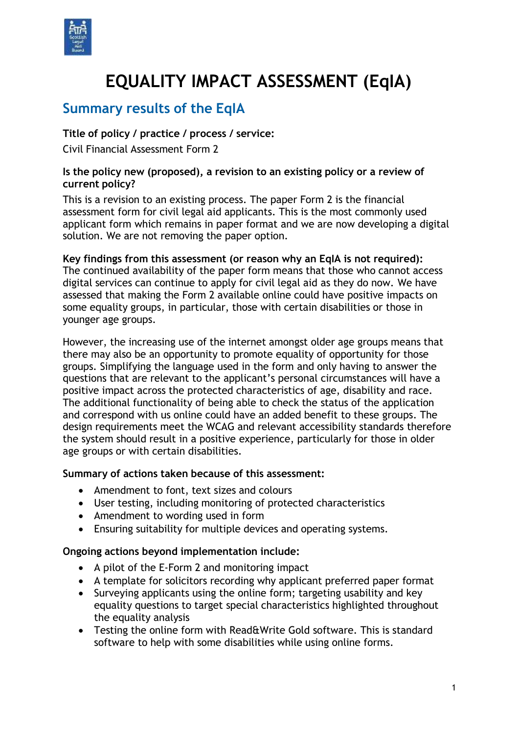

# **EQUALITY IMPACT ASSESSMENT (EqIA)**

## **Summary results of the EqIA**

## **Title of policy / practice / process / service:**

Civil Financial Assessment Form 2

#### **Is the policy new (proposed), a revision to an existing policy or a review of current policy?**

This is a revision to an existing process. The paper Form 2 is the financial assessment form for civil legal aid applicants. This is the most commonly used applicant form which remains in paper format and we are now developing a digital solution. We are not removing the paper option.

**Key findings from this assessment (or reason why an EqIA is not required):** The continued availability of the paper form means that those who cannot access digital services can continue to apply for civil legal aid as they do now. We have assessed that making the Form 2 available online could have positive impacts on some equality groups, in particular, those with certain disabilities or those in younger age groups.

However, the increasing use of the internet amongst older age groups means that there may also be an opportunity to promote equality of opportunity for those groups. Simplifying the language used in the form and only having to answer the questions that are relevant to the applicant's personal circumstances will have a positive impact across the protected characteristics of age, disability and race. The additional functionality of being able to check the status of the application and correspond with us online could have an added benefit to these groups. The design requirements meet the WCAG and relevant accessibility standards therefore the system should result in a positive experience, particularly for those in older age groups or with certain disabilities.

#### **Summary of actions taken because of this assessment:**

- Amendment to font, text sizes and colours
- User testing, including monitoring of protected characteristics
- Amendment to wording used in form
- Ensuring suitability for multiple devices and operating systems.

#### **Ongoing actions beyond implementation include:**

- A pilot of the E-Form 2 and monitoring impact
- A template for solicitors recording why applicant preferred paper format
- Surveying applicants using the online form; targeting usability and key equality questions to target special characteristics highlighted throughout the equality analysis
- Testing the online form with Read&Write Gold software. This is standard software to help with some disabilities while using online forms.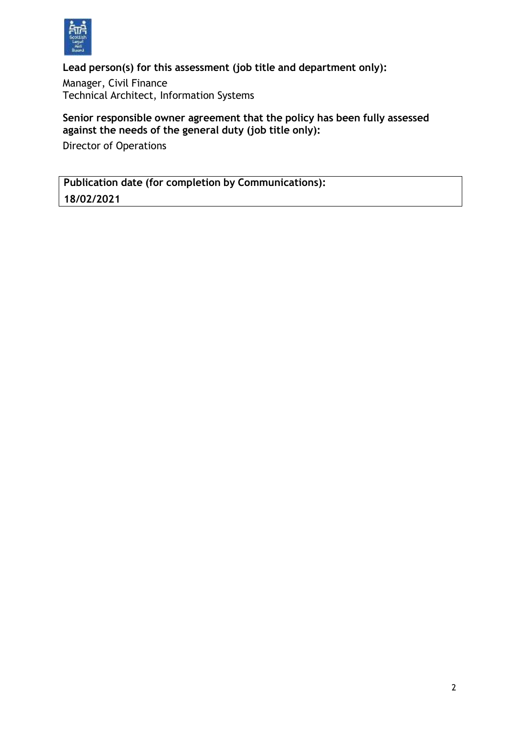

**Lead person(s) for this assessment (job title and department only):**

Manager, Civil Finance Technical Architect, Information Systems

## **Senior responsible owner agreement that the policy has been fully assessed against the needs of the general duty (job title only):**

Director of Operations

**Publication date (for completion by Communications): 18/02/2021**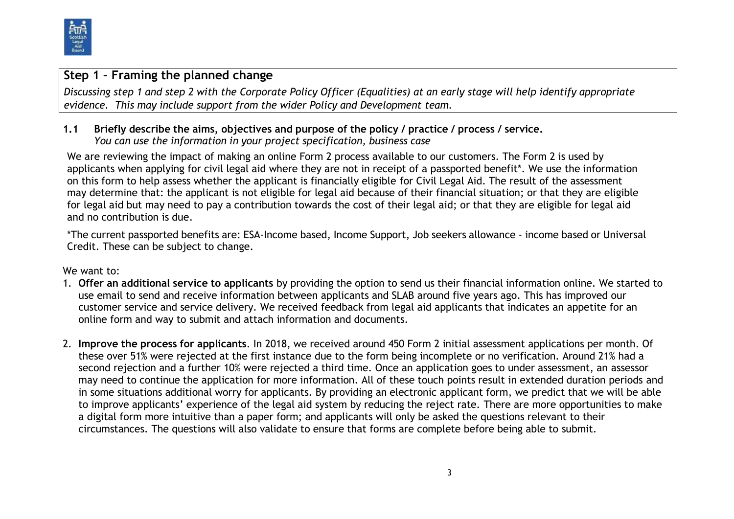

## **Step 1 – Framing the planned change**

Discussing step 1 and step 2 with the Corporate Policy Officer (Equalities) at an early stage will help identify appropriate *evidence. This may include support from the wider Policy and Development team.*

## **1.1 Briefly describe the aims, objectives and purpose of the policy / practice / process / service.** *You can use the information in your project specification, business case*

We are reviewing the impact of making an online Form 2 process available to our customers. The Form 2 is used by applicants when applying for civil legal aid where they are not in receipt of a passported benefit\*. We use the information on this form to help assess whether the applicant is financially eligible for Civil Legal Aid. The result of the assessment may determine that: the applicant is not eligible for legal aid because of their financial situation; or that they are eligible for legal aid but may need to pay a contribution towards the cost of their legal aid; or that they are eligible for legal aid and no contribution is due.

\*The current passported benefits are: ESA-Income based, Income Support, Job seekers allowance - income based or Universal Credit. These can be subject to change.

We want to:

- 1. **Offer an additional service to applicants** by providing the option to send us their financial information online. We started to use email to send and receive information between applicants and SLAB around five years ago. This has improved our customer service and service delivery. We received feedback from legal aid applicants that indicates an appetite for an online form and way to submit and attach information and documents.
- 2. **Improve the process for applicants**. In 2018, we received around 450 Form 2 initial assessment applications per month. Of these over 51% were rejected at the first instance due to the form being incomplete or no verification. Around 21% had a second rejection and a further 10% were rejected a third time. Once an application goes to under assessment, an assessor may need to continue the application for more information. All of these touch points result in extended duration periods and in some situations additional worry for applicants. By providing an electronic applicant form, we predict that we will be able to improve applicants' experience of the legal aid system by reducing the reject rate. There are more opportunities to make a digital form more intuitive than a paper form; and applicants will only be asked the questions relevant to their circumstances. The questions will also validate to ensure that forms are complete before being able to submit.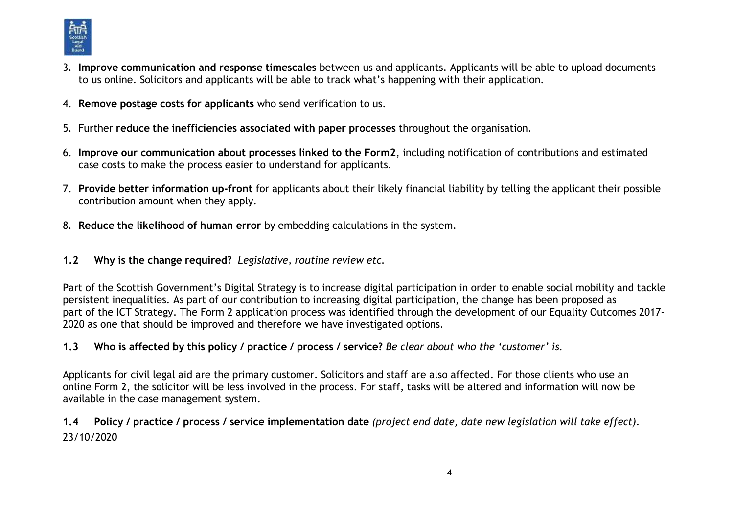

- 3. **Improve communication and response timescales** between us and applicants. Applicants will be able to upload documents to us online. Solicitors and applicants will be able to track what's happening with their application.
- 4. **Remove postage costs for applicants** who send verification to us.
- 5. Further **reduce the inefficiencies associated with paper processes** throughout the organisation.
- 6. **Improve our communication about processes linked to the Form2**, including notification of contributions and estimated case costs to make the process easier to understand for applicants.
- 7. **Provide better information up-front** for applicants about their likely financial liability by telling the applicant their possible contribution amount when they apply.
- 8. **Reduce the likelihood of human error** by embedding calculations in the system.
- **1.2 Why is the change required?** *Legislative, routine review etc.*

Part of the Scottish Government's Digital Strategy is to increase digital participation in order to enable social mobility and tackle persistent inequalities. As part of our contribution to increasing digital participation, the change has been proposed as part of the ICT Strategy. The Form 2 application process was identified through the development of our Equality Outcomes 2017- 2020 as one that should be improved and therefore we have investigated options.

1.3 Who is affected by this policy / practice / process / service? Be clear about who the 'customer' is.

Applicants for civil legal aid are the primary customer. Solicitors and staff are also affected. For those clients who use an online Form 2, the solicitor will be less involved in the process. For staff, tasks will be altered and information will now be available in the case management system.

1.4 Policy / practice / process / service implementation date (project end date, date new legislation will take effect). 23/10/2020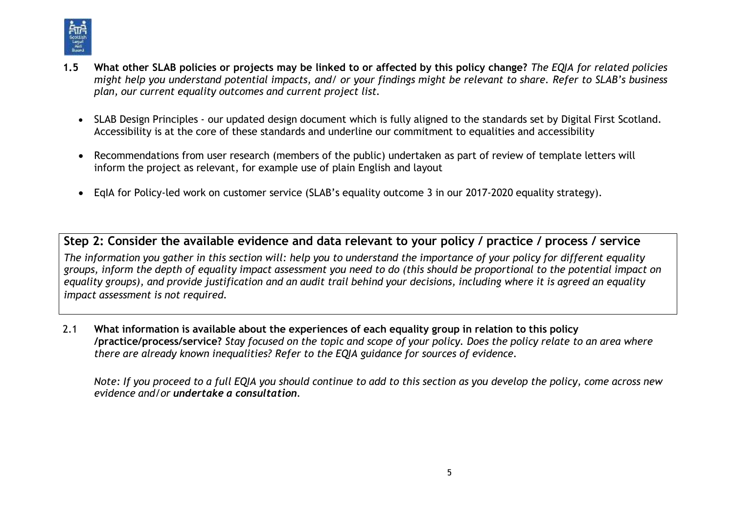

- 1.5 What other SLAB policies or projects may be linked to or affected by this policy change? The EQIA for related policies might help you understand potential impacts, and/ or your findings might be relevant to share. Refer to SLAB's business *plan, our current equality outcomes and current project list.*
	- SLAB Design Principles our updated design document which is fully aligned to the standards set by Digital First Scotland. Accessibility is at the core of these standards and underline our commitment to equalities and accessibility
	- Recommendations from user research (members of the public) undertaken as part of review of template letters will inform the project as relevant, for example use of plain English and layout
	- EqIA for Policy-led work on customer service (SLAB's equality outcome 3 in our 2017-2020 equality strategy).

**Step 2: Consider the available evidence and data relevant to your policy / practice / process / service** The information you gather in this section will: help you to understand the importance of your policy for different equality groups, inform the depth of equality impact assessment you need to do (this should be proportional to the potential impact on equality groups), and provide justification and an audit trail behind your decisions, including where it is agreed an equality *impact assessment is not required.*

2.1 **What information is available about the experiences of each equality group in relation to this policy** /practice/process/service? Stay focused on the topic and scope of your policy. Does the policy relate to an area where *there are already known inequalities? Refer to the EQIA guidance for sources of evidence.*

Note: If you proceed to a full EQIA you should continue to add to this section as you develop the policy, come across new *evidence and/or undertake a consultation.*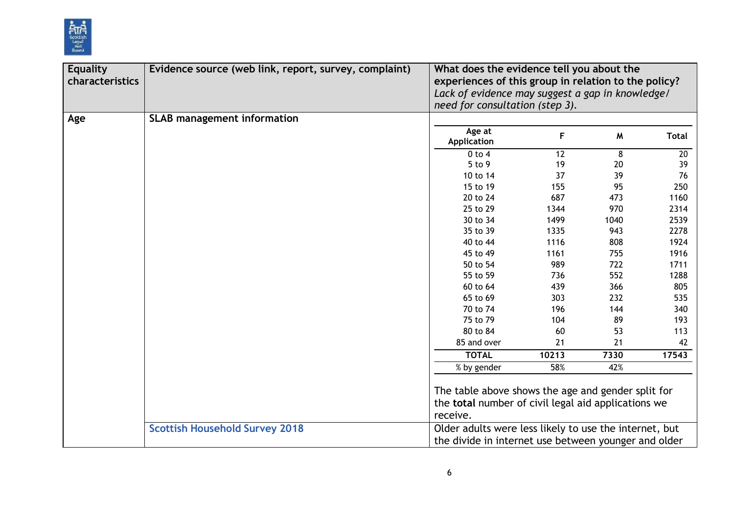

| <b>Equality</b><br>characteristics | Evidence source (web link, report, survey, complaint) | What does the evidence tell you about the                                                                             |       |      |              |
|------------------------------------|-------------------------------------------------------|-----------------------------------------------------------------------------------------------------------------------|-------|------|--------------|
|                                    |                                                       | experiences of this group in relation to the policy?<br>Lack of evidence may suggest a gap in knowledge/              |       |      |              |
|                                    |                                                       | need for consultation (step 3).                                                                                       |       |      |              |
| Age                                | <b>SLAB management information</b>                    |                                                                                                                       |       |      |              |
|                                    |                                                       | Age at<br><b>Application</b>                                                                                          | F     | M    | <b>Total</b> |
|                                    |                                                       | $0$ to $4$                                                                                                            | 12    | 8    | 20           |
|                                    |                                                       | 5 to 9                                                                                                                | 19    | 20   | 39           |
|                                    |                                                       | 10 to 14                                                                                                              | 37    | 39   | 76           |
|                                    |                                                       | 15 to 19                                                                                                              | 155   | 95   | 250          |
|                                    |                                                       | 20 to 24                                                                                                              | 687   | 473  | 1160         |
|                                    |                                                       | 25 to 29                                                                                                              | 1344  | 970  | 2314         |
|                                    |                                                       | 30 to 34                                                                                                              | 1499  | 1040 | 2539         |
|                                    |                                                       | 35 to 39                                                                                                              | 1335  | 943  | 2278         |
|                                    |                                                       | 40 to 44                                                                                                              | 1116  | 808  | 1924         |
|                                    |                                                       | 45 to 49                                                                                                              | 1161  | 755  | 1916         |
|                                    |                                                       | 50 to 54                                                                                                              | 989   | 722  | 1711         |
|                                    |                                                       | 55 to 59                                                                                                              | 736   | 552  | 1288         |
|                                    |                                                       | 60 to 64                                                                                                              | 439   | 366  | 805          |
|                                    |                                                       | 65 to 69                                                                                                              | 303   | 232  | 535          |
|                                    |                                                       | 70 to 74                                                                                                              | 196   | 144  | 340          |
|                                    |                                                       | 75 to 79                                                                                                              | 104   | 89   | 193          |
|                                    |                                                       | 80 to 84                                                                                                              | 60    | 53   | 113          |
|                                    |                                                       | 85 and over                                                                                                           | 21    | 21   | 42           |
|                                    |                                                       | <b>TOTAL</b>                                                                                                          | 10213 | 7330 | 17543        |
|                                    |                                                       | % by gender                                                                                                           | 58%   | 42%  |              |
|                                    |                                                       | The table above shows the age and gender split for<br>the total number of civil legal aid applications we<br>receive. |       |      |              |
|                                    | <b>Scottish Household Survey 2018</b>                 | Older adults were less likely to use the internet, but<br>the divide in internet use between younger and older        |       |      |              |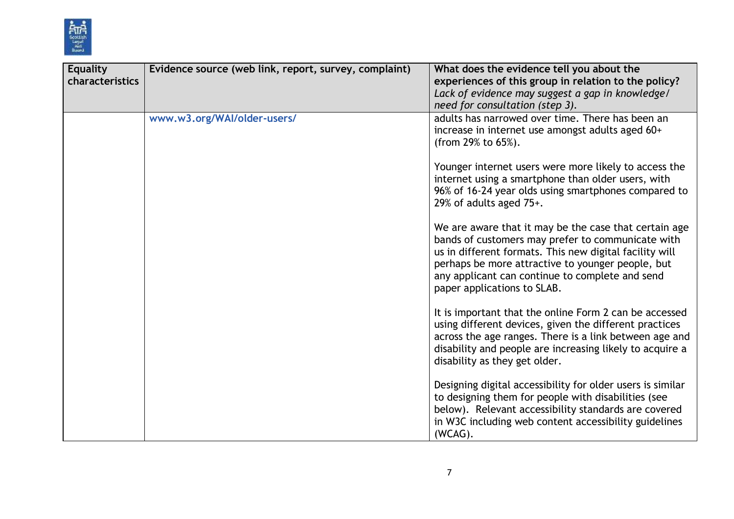

| <b>Equality</b><br>characteristics | Evidence source (web link, report, survey, complaint) | What does the evidence tell you about the<br>experiences of this group in relation to the policy?<br>Lack of evidence may suggest a gap in knowledge/<br>need for consultation (step 3).                                                                                                                     |
|------------------------------------|-------------------------------------------------------|--------------------------------------------------------------------------------------------------------------------------------------------------------------------------------------------------------------------------------------------------------------------------------------------------------------|
|                                    | www.w3.org/WAI/older-users/                           | adults has narrowed over time. There has been an<br>increase in internet use amongst adults aged 60+<br>(from 29% to 65%).                                                                                                                                                                                   |
|                                    |                                                       | Younger internet users were more likely to access the<br>internet using a smartphone than older users, with<br>96% of 16-24 year olds using smartphones compared to<br>29% of adults aged 75+.                                                                                                               |
|                                    |                                                       | We are aware that it may be the case that certain age<br>bands of customers may prefer to communicate with<br>us in different formats. This new digital facility will<br>perhaps be more attractive to younger people, but<br>any applicant can continue to complete and send<br>paper applications to SLAB. |
|                                    |                                                       | It is important that the online Form 2 can be accessed<br>using different devices, given the different practices<br>across the age ranges. There is a link between age and<br>disability and people are increasing likely to acquire a<br>disability as they get older.                                      |
|                                    |                                                       | Designing digital accessibility for older users is similar<br>to designing them for people with disabilities (see<br>below). Relevant accessibility standards are covered<br>in W3C including web content accessibility guidelines<br>(WCAG).                                                                |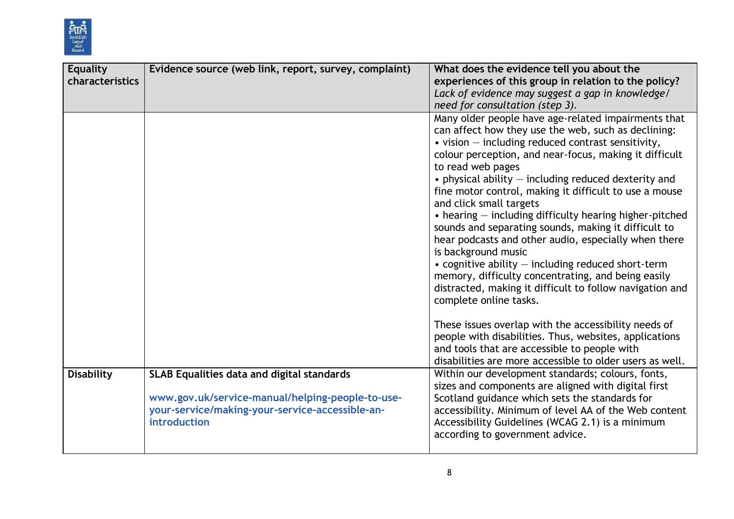

| <b>Equality</b><br>characteristics | Evidence source (web link, report, survey, complaint)                                                                                                                    | What does the evidence tell you about the<br>experiences of this group in relation to the policy?<br>Lack of evidence may suggest a gap in knowledge/<br>need for consultation (step 3).                                                                                                                                                                                                                                                                                                                                                                                                                                                                                                                                                                                                                                                 |
|------------------------------------|--------------------------------------------------------------------------------------------------------------------------------------------------------------------------|------------------------------------------------------------------------------------------------------------------------------------------------------------------------------------------------------------------------------------------------------------------------------------------------------------------------------------------------------------------------------------------------------------------------------------------------------------------------------------------------------------------------------------------------------------------------------------------------------------------------------------------------------------------------------------------------------------------------------------------------------------------------------------------------------------------------------------------|
|                                    |                                                                                                                                                                          | Many older people have age-related impairments that<br>can affect how they use the web, such as declining:<br>$\bullet$ vision $-$ including reduced contrast sensitivity,<br>colour perception, and near-focus, making it difficult<br>to read web pages<br>$\bullet$ physical ability $-$ including reduced dexterity and<br>fine motor control, making it difficult to use a mouse<br>and click small targets<br>$\bullet$ hearing $-$ including difficulty hearing higher-pitched<br>sounds and separating sounds, making it difficult to<br>hear podcasts and other audio, especially when there<br>is background music<br>$\bullet$ cognitive ability $-$ including reduced short-term<br>memory, difficulty concentrating, and being easily<br>distracted, making it difficult to follow navigation and<br>complete online tasks. |
|                                    |                                                                                                                                                                          | These issues overlap with the accessibility needs of<br>people with disabilities. Thus, websites, applications<br>and tools that are accessible to people with<br>disabilities are more accessible to older users as well.                                                                                                                                                                                                                                                                                                                                                                                                                                                                                                                                                                                                               |
| <b>Disability</b>                  | <b>SLAB Equalities data and digital standards</b><br>www.gov.uk/service-manual/helping-people-to-use-<br>your-service/making-your-service-accessible-an-<br>introduction | Within our development standards; colours, fonts,<br>sizes and components are aligned with digital first<br>Scotland guidance which sets the standards for<br>accessibility. Minimum of level AA of the Web content<br>Accessibility Guidelines (WCAG 2.1) is a minimum<br>according to government advice.                                                                                                                                                                                                                                                                                                                                                                                                                                                                                                                               |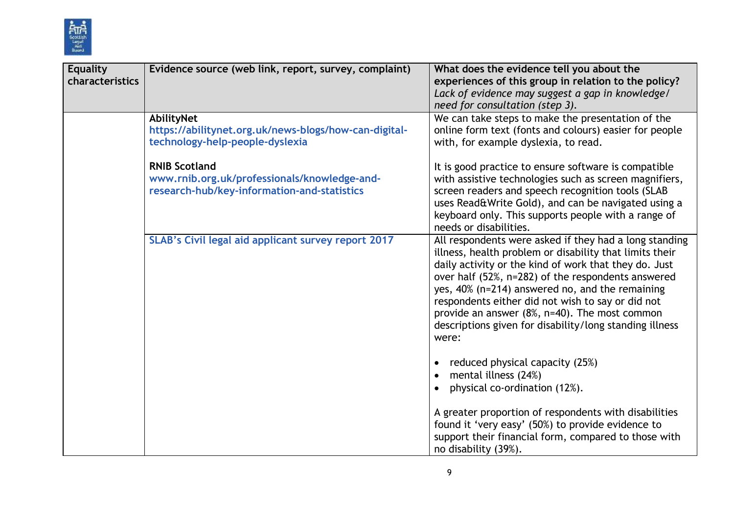

| <b>Equality</b><br>characteristics | Evidence source (web link, report, survey, complaint)                                                               | What does the evidence tell you about the<br>experiences of this group in relation to the policy?<br>Lack of evidence may suggest a gap in knowledge/<br>need for consultation (step 3).                                                                                                                                                                                                                                                                      |
|------------------------------------|---------------------------------------------------------------------------------------------------------------------|---------------------------------------------------------------------------------------------------------------------------------------------------------------------------------------------------------------------------------------------------------------------------------------------------------------------------------------------------------------------------------------------------------------------------------------------------------------|
|                                    | AbilityNet<br>https://abilitynet.org.uk/news-blogs/how-can-digital-<br>technology-help-people-dyslexia              | We can take steps to make the presentation of the<br>online form text (fonts and colours) easier for people<br>with, for example dyslexia, to read.                                                                                                                                                                                                                                                                                                           |
|                                    | <b>RNIB Scotland</b><br>www.rnib.org.uk/professionals/knowledge-and-<br>research-hub/key-information-and-statistics | It is good practice to ensure software is compatible<br>with assistive technologies such as screen magnifiers,<br>screen readers and speech recognition tools (SLAB<br>uses Read&Write Gold), and can be navigated using a<br>keyboard only. This supports people with a range of<br>needs or disabilities.                                                                                                                                                   |
|                                    | SLAB's Civil legal aid applicant survey report 2017                                                                 | All respondents were asked if they had a long standing<br>illness, health problem or disability that limits their<br>daily activity or the kind of work that they do. Just<br>over half (52%, n=282) of the respondents answered<br>yes, 40% (n=214) answered no, and the remaining<br>respondents either did not wish to say or did not<br>provide an answer (8%, n=40). The most common<br>descriptions given for disability/long standing illness<br>were: |
|                                    |                                                                                                                     | reduced physical capacity (25%)<br>mental illness (24%)<br>physical co-ordination (12%).                                                                                                                                                                                                                                                                                                                                                                      |
|                                    |                                                                                                                     | A greater proportion of respondents with disabilities<br>found it 'very easy' (50%) to provide evidence to<br>support their financial form, compared to those with<br>no disability (39%).                                                                                                                                                                                                                                                                    |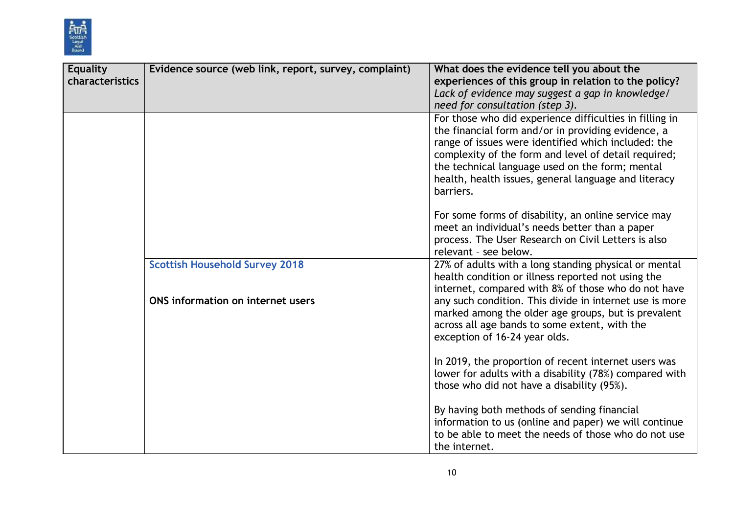

| <b>Equality</b> | Evidence source (web link, report, survey, complaint) | What does the evidence tell you about the               |
|-----------------|-------------------------------------------------------|---------------------------------------------------------|
| characteristics |                                                       | experiences of this group in relation to the policy?    |
|                 |                                                       | Lack of evidence may suggest a gap in knowledge/        |
|                 |                                                       | need for consultation (step 3).                         |
|                 |                                                       | For those who did experience difficulties in filling in |
|                 |                                                       | the financial form and/or in providing evidence, a      |
|                 |                                                       | range of issues were identified which included: the     |
|                 |                                                       | complexity of the form and level of detail required;    |
|                 |                                                       | the technical language used on the form; mental         |
|                 |                                                       | health, health issues, general language and literacy    |
|                 |                                                       | barriers.                                               |
|                 |                                                       | For some forms of disability, an online service may     |
|                 |                                                       | meet an individual's needs better than a paper          |
|                 |                                                       | process. The User Research on Civil Letters is also     |
|                 |                                                       | relevant - see below.                                   |
|                 | <b>Scottish Household Survey 2018</b>                 | 27% of adults with a long standing physical or mental   |
|                 |                                                       | health condition or illness reported not using the      |
|                 |                                                       | internet, compared with 8% of those who do not have     |
|                 | ONS information on internet users                     | any such condition. This divide in internet use is more |
|                 |                                                       | marked among the older age groups, but is prevalent     |
|                 |                                                       | across all age bands to some extent, with the           |
|                 |                                                       | exception of 16-24 year olds.                           |
|                 |                                                       | In 2019, the proportion of recent internet users was    |
|                 |                                                       | lower for adults with a disability (78%) compared with  |
|                 |                                                       | those who did not have a disability (95%).              |
|                 |                                                       |                                                         |
|                 |                                                       | By having both methods of sending financial             |
|                 |                                                       | information to us (online and paper) we will continue   |
|                 |                                                       | to be able to meet the needs of those who do not use    |
|                 |                                                       | the internet.                                           |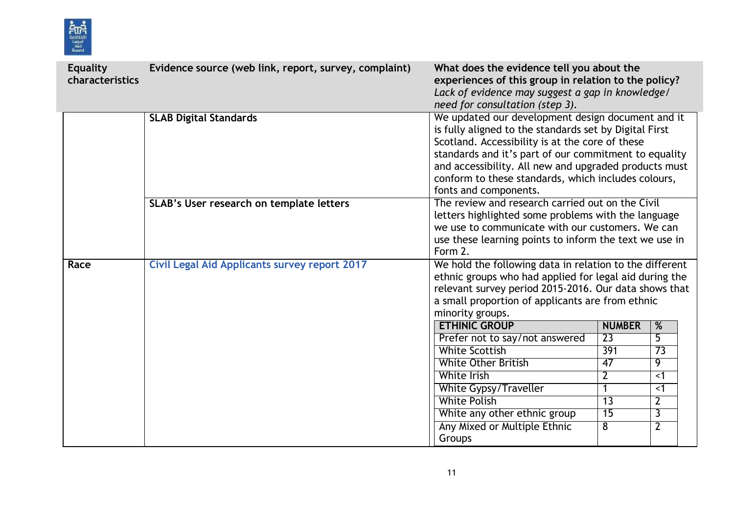

| <b>Equality</b><br>characteristics | Evidence source (web link, report, survey, complaint) | What does the evidence tell you about the<br>experiences of this group in relation to the policy?<br>Lack of evidence may suggest a gap in knowledge/<br>need for consultation (step 3).                                                                                                                                                                         |                               |                      |
|------------------------------------|-------------------------------------------------------|------------------------------------------------------------------------------------------------------------------------------------------------------------------------------------------------------------------------------------------------------------------------------------------------------------------------------------------------------------------|-------------------------------|----------------------|
|                                    | <b>SLAB Digital Standards</b>                         | We updated our development design document and it<br>is fully aligned to the standards set by Digital First<br>Scotland. Accessibility is at the core of these<br>standards and it's part of our commitment to equality<br>and accessibility. All new and upgraded products must<br>conform to these standards, which includes colours,<br>fonts and components. |                               |                      |
|                                    | SLAB's User research on template letters              | The review and research carried out on the Civil<br>letters highlighted some problems with the language<br>we use to communicate with our customers. We can<br>use these learning points to inform the text we use in<br>Form 2.                                                                                                                                 |                               |                      |
| Race                               | <b>Civil Legal Aid Applicants survey report 2017</b>  | We hold the following data in relation to the different<br>ethnic groups who had applied for legal aid during the<br>relevant survey period 2015-2016. Our data shows that<br>a small proportion of applicants are from ethnic<br>minority groups.                                                                                                               |                               |                      |
|                                    |                                                       | <b>ETHINIC GROUP</b>                                                                                                                                                                                                                                                                                                                                             | <b>NUMBER</b>                 | $\frac{9}{6}$        |
|                                    |                                                       | Prefer not to say/not answered                                                                                                                                                                                                                                                                                                                                   | $\overline{23}$               | $\overline{5}$       |
|                                    |                                                       | <b>White Scottish</b>                                                                                                                                                                                                                                                                                                                                            | 391                           | $\overline{73}$      |
|                                    |                                                       | <b>White Other British</b><br><b>White Irish</b>                                                                                                                                                                                                                                                                                                                 | 47                            | 9                    |
|                                    |                                                       | <b>White Gypsy/Traveller</b>                                                                                                                                                                                                                                                                                                                                     | $\overline{2}$<br>$\mathbf 1$ | $\leq$ 1<br>$\leq$ 1 |
|                                    |                                                       | <b>White Polish</b>                                                                                                                                                                                                                                                                                                                                              | $\overline{13}$               | $\overline{2}$       |
|                                    |                                                       | White any other ethnic group                                                                                                                                                                                                                                                                                                                                     | $\overline{15}$               | $\overline{3}$       |
|                                    |                                                       | Any Mixed or Multiple Ethnic                                                                                                                                                                                                                                                                                                                                     | 8                             | $\overline{2}$       |
|                                    |                                                       | Groups                                                                                                                                                                                                                                                                                                                                                           |                               |                      |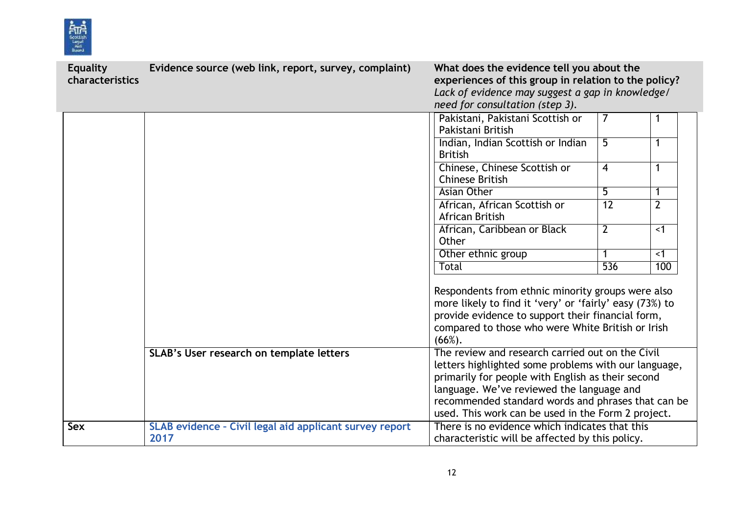

| <b>Equality</b><br>characteristics | Evidence source (web link, report, survey, complaint)           | What does the evidence tell you about the<br>experiences of this group in relation to the policy?<br>Lack of evidence may suggest a gap in knowledge/<br>need for consultation (step 3).                                                                                                                               |                  |                |
|------------------------------------|-----------------------------------------------------------------|------------------------------------------------------------------------------------------------------------------------------------------------------------------------------------------------------------------------------------------------------------------------------------------------------------------------|------------------|----------------|
|                                    |                                                                 | Pakistani, Pakistani Scottish or<br>Pakistani British                                                                                                                                                                                                                                                                  | 7                |                |
|                                    |                                                                 | Indian, Indian Scottish or Indian<br><b>British</b>                                                                                                                                                                                                                                                                    | 5                | 1              |
|                                    |                                                                 | Chinese, Chinese Scottish or<br>Chinese British                                                                                                                                                                                                                                                                        | $\overline{4}$   | 1              |
|                                    |                                                                 | <b>Asian Other</b>                                                                                                                                                                                                                                                                                                     | $\overline{5}$   | 1              |
|                                    |                                                                 | African, African Scottish or<br><b>African British</b>                                                                                                                                                                                                                                                                 | $\overline{12}$  | $\overline{2}$ |
|                                    |                                                                 | African, Caribbean or Black<br>Other                                                                                                                                                                                                                                                                                   | $\overline{2}$   | $\overline{5}$ |
|                                    |                                                                 | Other ethnic group                                                                                                                                                                                                                                                                                                     | 1                | $\leq$ 1       |
|                                    |                                                                 | Total                                                                                                                                                                                                                                                                                                                  | $\overline{536}$ | 100            |
|                                    |                                                                 | Respondents from ethnic minority groups were also<br>more likely to find it 'very' or 'fairly' easy (73%) to<br>provide evidence to support their financial form,<br>compared to those who were White British or Irish<br>$(66\%).$                                                                                    |                  |                |
|                                    | SLAB's User research on template letters                        | The review and research carried out on the Civil<br>letters highlighted some problems with our language,<br>primarily for people with English as their second<br>language. We've reviewed the language and<br>recommended standard words and phrases that can be<br>used. This work can be used in the Form 2 project. |                  |                |
| <b>Sex</b>                         | SLAB evidence - Civil legal aid applicant survey report<br>2017 | There is no evidence which indicates that this<br>characteristic will be affected by this policy.                                                                                                                                                                                                                      |                  |                |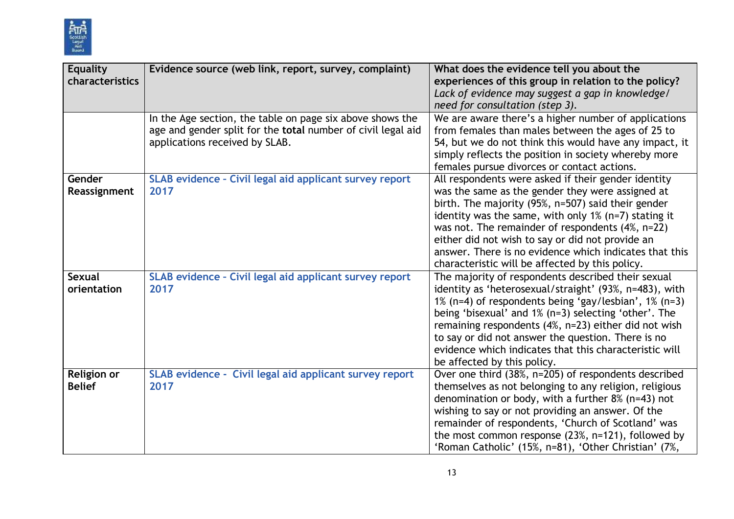

| <b>Equality</b><br>characteristics  | Evidence source (web link, report, survey, complaint)                                                                                                       | What does the evidence tell you about the<br>experiences of this group in relation to the policy?<br>Lack of evidence may suggest a gap in knowledge/<br>need for consultation (step 3).                                                                                                                                                                                                                                                          |
|-------------------------------------|-------------------------------------------------------------------------------------------------------------------------------------------------------------|---------------------------------------------------------------------------------------------------------------------------------------------------------------------------------------------------------------------------------------------------------------------------------------------------------------------------------------------------------------------------------------------------------------------------------------------------|
|                                     | In the Age section, the table on page six above shows the<br>age and gender split for the total number of civil legal aid<br>applications received by SLAB. | We are aware there's a higher number of applications<br>from females than males between the ages of 25 to<br>54, but we do not think this would have any impact, it<br>simply reflects the position in society whereby more<br>females pursue divorces or contact actions.                                                                                                                                                                        |
| Gender<br>Reassignment              | SLAB evidence - Civil legal aid applicant survey report<br>2017                                                                                             | All respondents were asked if their gender identity<br>was the same as the gender they were assigned at<br>birth. The majority (95%, n=507) said their gender<br>identity was the same, with only $1\%$ (n=7) stating it<br>was not. The remainder of respondents $(4\% , n=22)$<br>either did not wish to say or did not provide an<br>answer. There is no evidence which indicates that this<br>characteristic will be affected by this policy. |
| <b>Sexual</b><br>orientation        | SLAB evidence - Civil legal aid applicant survey report<br>2017                                                                                             | The majority of respondents described their sexual<br>identity as 'heterosexual/straight' (93%, n=483), with<br>1% (n=4) of respondents being 'gay/lesbian', 1% (n=3)<br>being 'bisexual' and 1% (n=3) selecting 'other'. The<br>remaining respondents (4%, n=23) either did not wish<br>to say or did not answer the question. There is no<br>evidence which indicates that this characteristic will<br>be affected by this policy.              |
| <b>Religion or</b><br><b>Belief</b> | SLAB evidence - Civil legal aid applicant survey report<br>2017                                                                                             | Over one third (38%, n=205) of respondents described<br>themselves as not belonging to any religion, religious<br>denomination or body, with a further $8\%$ (n=43) not<br>wishing to say or not providing an answer. Of the<br>remainder of respondents, 'Church of Scotland' was<br>the most common response (23%, n=121), followed by<br>'Roman Catholic' (15%, n=81), 'Other Christian' (7%,                                                  |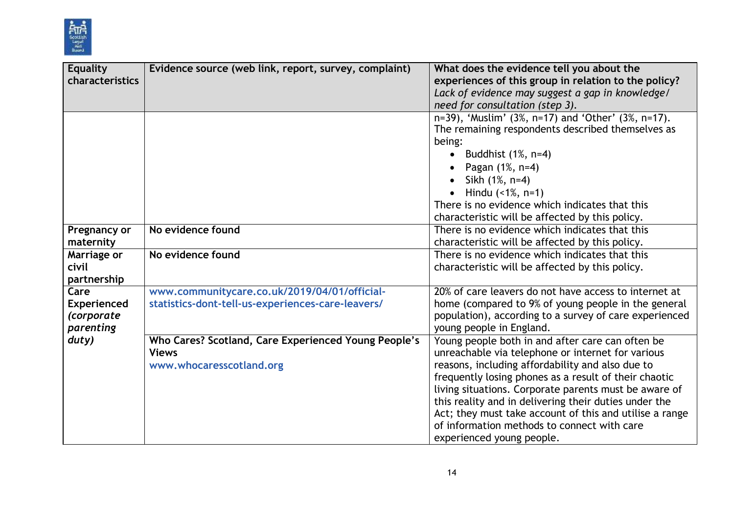

| <b>Equality</b>    | Evidence source (web link, report, survey, complaint) | What does the evidence tell you about the               |
|--------------------|-------------------------------------------------------|---------------------------------------------------------|
| characteristics    |                                                       | experiences of this group in relation to the policy?    |
|                    |                                                       | Lack of evidence may suggest a gap in knowledge/        |
|                    |                                                       | need for consultation (step 3).                         |
|                    |                                                       | n=39), 'Muslim' (3%, n=17) and 'Other' (3%, n=17).      |
|                    |                                                       | The remaining respondents described themselves as       |
|                    |                                                       | being:                                                  |
|                    |                                                       | • Buddhist $(1\% , n=4)$                                |
|                    |                                                       | Pagan (1%, n=4)                                         |
|                    |                                                       |                                                         |
|                    |                                                       | Sikh (1%, n=4)                                          |
|                    |                                                       | Hindu $($ < 1%, n=1)                                    |
|                    |                                                       | There is no evidence which indicates that this          |
|                    |                                                       | characteristic will be affected by this policy.         |
| Pregnancy or       | No evidence found                                     | There is no evidence which indicates that this          |
| maternity          |                                                       | characteristic will be affected by this policy.         |
| Marriage or        | No evidence found                                     | There is no evidence which indicates that this          |
| civil              |                                                       | characteristic will be affected by this policy.         |
| partnership        |                                                       |                                                         |
| Care               | www.communitycare.co.uk/2019/04/01/official-          | 20% of care leavers do not have access to internet at   |
| <b>Experienced</b> | statistics-dont-tell-us-experiences-care-leavers/     | home (compared to 9% of young people in the general     |
| (corporate         |                                                       | population), according to a survey of care experienced  |
| parenting          |                                                       | young people in England.                                |
| duty)              | Who Cares? Scotland, Care Experienced Young People's  | Young people both in and after care can often be        |
|                    | <b>Views</b>                                          | unreachable via telephone or internet for various       |
|                    | www.whocaresscotland.org                              | reasons, including affordability and also due to        |
|                    |                                                       | frequently losing phones as a result of their chaotic   |
|                    |                                                       | living situations. Corporate parents must be aware of   |
|                    |                                                       | this reality and in delivering their duties under the   |
|                    |                                                       | Act; they must take account of this and utilise a range |
|                    |                                                       | of information methods to connect with care             |
|                    |                                                       | experienced young people.                               |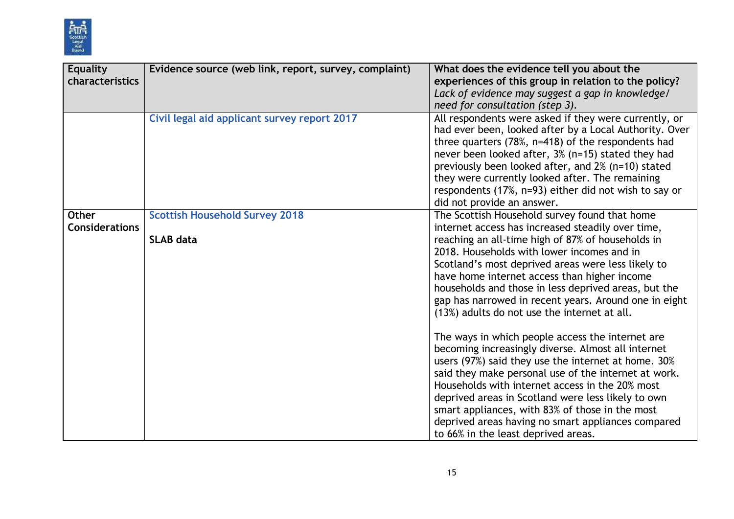

| Equality<br>characteristics    | Evidence source (web link, report, survey, complaint)     | What does the evidence tell you about the<br>experiences of this group in relation to the policy?<br>Lack of evidence may suggest a gap in knowledge/<br>need for consultation (step 3).                                                                                                                                                                                                                                                                                       |
|--------------------------------|-----------------------------------------------------------|--------------------------------------------------------------------------------------------------------------------------------------------------------------------------------------------------------------------------------------------------------------------------------------------------------------------------------------------------------------------------------------------------------------------------------------------------------------------------------|
|                                | Civil legal aid applicant survey report 2017              | All respondents were asked if they were currently, or<br>had ever been, looked after by a Local Authority. Over<br>three quarters (78%, n=418) of the respondents had<br>never been looked after, 3% (n=15) stated they had<br>previously been looked after, and 2% (n=10) stated<br>they were currently looked after. The remaining<br>respondents (17%, n=93) either did not wish to say or<br>did not provide an answer.                                                    |
| Other<br><b>Considerations</b> | <b>Scottish Household Survey 2018</b><br><b>SLAB data</b> | The Scottish Household survey found that home<br>internet access has increased steadily over time,<br>reaching an all-time high of 87% of households in<br>2018. Households with lower incomes and in<br>Scotland's most deprived areas were less likely to<br>have home internet access than higher income<br>households and those in less deprived areas, but the<br>gap has narrowed in recent years. Around one in eight<br>(13%) adults do not use the internet at all.   |
|                                |                                                           | The ways in which people access the internet are<br>becoming increasingly diverse. Almost all internet<br>users (97%) said they use the internet at home. 30%<br>said they make personal use of the internet at work.<br>Households with internet access in the 20% most<br>deprived areas in Scotland were less likely to own<br>smart appliances, with 83% of those in the most<br>deprived areas having no smart appliances compared<br>to 66% in the least deprived areas. |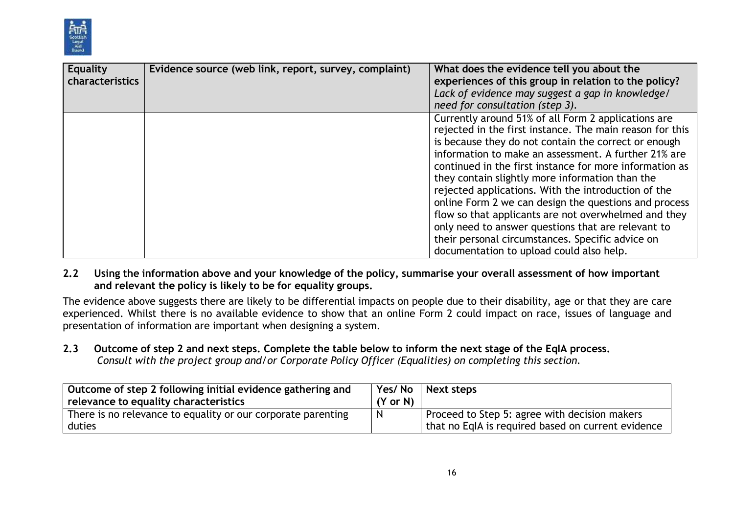

| <b>Equality</b><br>characteristics | Evidence source (web link, report, survey, complaint) | What does the evidence tell you about the<br>experiences of this group in relation to the policy?<br>Lack of evidence may suggest a gap in knowledge/<br>need for consultation (step 3).                                                                                                                                                                                                                                                                                                                                                                                                                                                                                    |
|------------------------------------|-------------------------------------------------------|-----------------------------------------------------------------------------------------------------------------------------------------------------------------------------------------------------------------------------------------------------------------------------------------------------------------------------------------------------------------------------------------------------------------------------------------------------------------------------------------------------------------------------------------------------------------------------------------------------------------------------------------------------------------------------|
|                                    |                                                       | Currently around 51% of all Form 2 applications are<br>rejected in the first instance. The main reason for this<br>is because they do not contain the correct or enough<br>information to make an assessment. A further 21% are<br>continued in the first instance for more information as<br>they contain slightly more information than the<br>rejected applications. With the introduction of the<br>online Form 2 we can design the questions and process<br>flow so that applicants are not overwhelmed and they<br>only need to answer questions that are relevant to<br>their personal circumstances. Specific advice on<br>documentation to upload could also help. |

#### 2.2 Using the information above and your knowledge of the policy, summarise your overall assessment of how important **and relevant the policy is likely to be for equality groups.**

The evidence above suggests there are likely to be differential impacts on people due to their disability, age or that they are care experienced. Whilst there is no available evidence to show that an online Form 2 could impact on race, issues of language and presentation of information are important when designing a system.

2.3 Outcome of step 2 and next steps. Complete the table below to inform the next stage of the EqIA process. *Consult with the project group and/or Corporate Policy Officer (Equalities) on completing this section.*

| Outcome of step 2 following initial evidence gathering and   | Yes/No              | Next steps                                         |
|--------------------------------------------------------------|---------------------|----------------------------------------------------|
| relevance to equality characteristics                        | $(Y \text{ or } N)$ |                                                    |
| There is no relevance to equality or our corporate parenting | <sub>N</sub>        | Proceed to Step 5: agree with decision makers      |
| duties                                                       |                     | that no EqIA is required based on current evidence |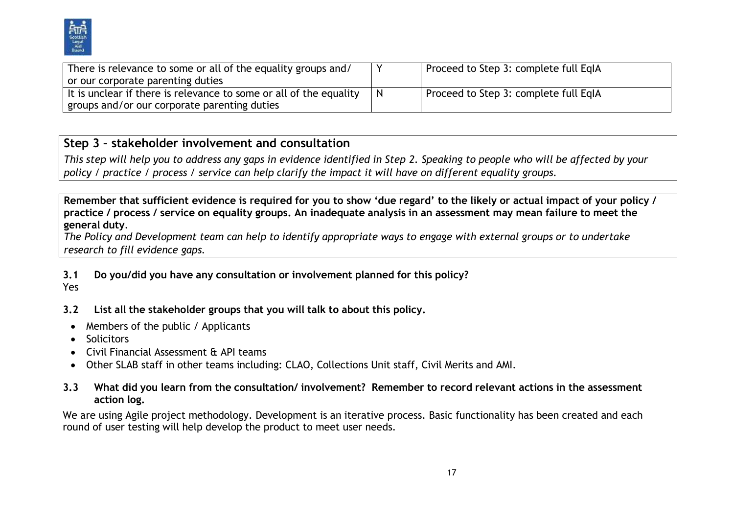

| There is relevance to some or all of the equality groups and/      | Proceed to Step 3: complete full EqIA |
|--------------------------------------------------------------------|---------------------------------------|
| or our corporate parenting duties                                  |                                       |
| It is unclear if there is relevance to some or all of the equality | Proceed to Step 3: complete full EgIA |
| groups and/or our corporate parenting duties                       |                                       |

## **Step 3 – stakeholder involvement and consultation**

This step will help you to address any gaps in evidence identified in Step 2. Speaking to people who will be affected by your policy / practice / process / service can help clarify the impact it will have on different equality groups.

Remember that sufficient evidence is required for you to show 'due regard' to the likely or actual impact of your policy / practice / process / service on equality groups. An inadequate analysis in an assessment may mean failure to meet the **general duty**.

The Policy and Development team can help to identify appropriate ways to engage with external groups or to undertake *research to fill evidence gaps.*

## **3.1 Do you/did you have any consultation or involvement planned for this policy?**

Yes

- **3.2 List all the stakeholder groups that you will talk to about this policy.**
- Members of the public / Applicants
- Solicitors
- Civil Financial Assessment & API teams
- Other SLAB staff in other teams including: CLAO, Collections Unit staff, Civil Merits and AMI.
- 3.3 What did you learn from the consultation/involvement? Remember to record relevant actions in the assessment **action log.**

We are using Agile project methodology. Development is an iterative process. Basic functionality has been created and each round of user testing will help develop the product to meet user needs.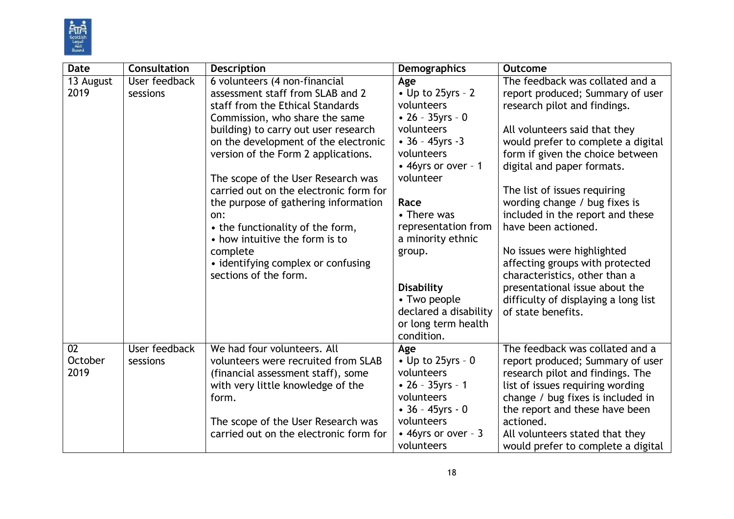

| <b>Date</b>   | Consultation  | <b>Description</b>                                                      | <b>Demographics</b>                | <b>Outcome</b>                                                       |
|---------------|---------------|-------------------------------------------------------------------------|------------------------------------|----------------------------------------------------------------------|
| 13 August     | User feedback | 6 volunteers (4 non-financial                                           | Age                                | The feedback was collated and a                                      |
| 2019          | sessions      | assessment staff from SLAB and 2                                        | $\bullet$ Up to 25yrs - 2          | report produced; Summary of user                                     |
|               |               | staff from the Ethical Standards                                        | volunteers                         | research pilot and findings.                                         |
|               |               | Commission, who share the same                                          | • $26 - 35yrs - 0$                 |                                                                      |
|               |               | building) to carry out user research                                    | volunteers                         | All volunteers said that they                                        |
|               |               | on the development of the electronic                                    | $-36 - 45$ yrs -3                  | would prefer to complete a digital                                   |
|               |               | version of the Form 2 applications.                                     | volunteers                         | form if given the choice between                                     |
|               |               | The scope of the User Research was                                      | • 46yrs or over - 1<br>volunteer   | digital and paper formats.                                           |
|               |               | carried out on the electronic form for                                  |                                    | The list of issues requiring                                         |
|               |               | the purpose of gathering information                                    | Race                               | wording change / bug fixes is                                        |
|               |               | on:                                                                     | • There was                        | included in the report and these                                     |
|               |               | • the functionality of the form,                                        | representation from                | have been actioned.                                                  |
|               |               | • how intuitive the form is to                                          | a minority ethnic                  |                                                                      |
|               |               | complete                                                                | group.                             | No issues were highlighted                                           |
|               |               | • identifying complex or confusing                                      |                                    | affecting groups with protected                                      |
|               |               | sections of the form.                                                   |                                    | characteristics, other than a                                        |
|               |               |                                                                         | <b>Disability</b>                  | presentational issue about the                                       |
|               |               |                                                                         | • Two people                       | difficulty of displaying a long list                                 |
|               |               |                                                                         | declared a disability              | of state benefits.                                                   |
|               |               |                                                                         | or long term health                |                                                                      |
|               |               |                                                                         | condition.                         |                                                                      |
| 02<br>October | User feedback | We had four volunteers. All                                             | Age                                | The feedback was collated and a                                      |
| 2019          | sessions      | volunteers were recruited from SLAB                                     | • Up to $25$ yrs - 0<br>volunteers | report produced; Summary of user                                     |
|               |               | (financial assessment staff), some<br>with very little knowledge of the | • $26 - 35yrs - 1$                 | research pilot and findings. The<br>list of issues requiring wording |
|               |               | form.                                                                   | volunteers                         | change / bug fixes is included in                                    |
|               |               |                                                                         | $\cdot$ 36 - 45yrs - 0             | the report and these have been                                       |
|               |               | The scope of the User Research was                                      | volunteers                         | actioned.                                                            |
|               |               | carried out on the electronic form for                                  | • 46yrs or over - 3                | All volunteers stated that they                                      |
|               |               |                                                                         | volunteers                         | would prefer to complete a digital                                   |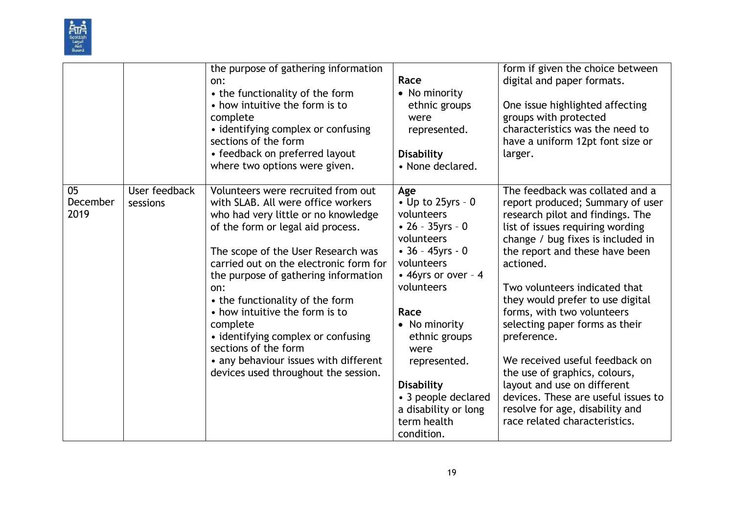

|                        |                           | the purpose of gathering information<br>on:<br>• the functionality of the form<br>• how intuitive the form is to<br>complete<br>• identifying complex or confusing<br>sections of the form<br>• feedback on preferred layout<br>where two options were given.                                                                                                                                                                                                                                                       | Race<br>$\bullet$ No minority<br>ethnic groups<br>were<br>represented.<br>Disability<br>• None declared.                                                                                                                                                                                                                                       | form if given the choice between<br>digital and paper formats.<br>One issue highlighted affecting<br>groups with protected<br>characteristics was the need to<br>have a uniform 12pt font size or<br>larger.                                                                                                                                                                                                                                                                                                                                                                                     |
|------------------------|---------------------------|---------------------------------------------------------------------------------------------------------------------------------------------------------------------------------------------------------------------------------------------------------------------------------------------------------------------------------------------------------------------------------------------------------------------------------------------------------------------------------------------------------------------|------------------------------------------------------------------------------------------------------------------------------------------------------------------------------------------------------------------------------------------------------------------------------------------------------------------------------------------------|--------------------------------------------------------------------------------------------------------------------------------------------------------------------------------------------------------------------------------------------------------------------------------------------------------------------------------------------------------------------------------------------------------------------------------------------------------------------------------------------------------------------------------------------------------------------------------------------------|
| 05<br>December<br>2019 | User feedback<br>sessions | Volunteers were recruited from out<br>with SLAB. All were office workers<br>who had very little or no knowledge<br>of the form or legal aid process.<br>The scope of the User Research was<br>carried out on the electronic form for<br>the purpose of gathering information<br>on:<br>• the functionality of the form<br>• how intuitive the form is to<br>complete<br>• identifying complex or confusing<br>sections of the form<br>• any behaviour issues with different<br>devices used throughout the session. | Age<br>$\bullet$ Up to 25yrs - 0<br>volunteers<br>$\cdot$ 26 - 35yrs - 0<br>volunteers<br>$\cdot$ 36 - 45yrs - 0<br>volunteers<br>• 46yrs or over - 4<br>volunteers<br>Race<br>$\bullet$ No minority<br>ethnic groups<br>were<br>represented.<br><b>Disability</b><br>• 3 people declared<br>a disability or long<br>term health<br>condition. | The feedback was collated and a<br>report produced; Summary of user<br>research pilot and findings. The<br>list of issues requiring wording<br>change / bug fixes is included in<br>the report and these have been<br>actioned.<br>Two volunteers indicated that<br>they would prefer to use digital<br>forms, with two volunteers<br>selecting paper forms as their<br>preference.<br>We received useful feedback on<br>the use of graphics, colours,<br>layout and use on different<br>devices. These are useful issues to<br>resolve for age, disability and<br>race related characteristics. |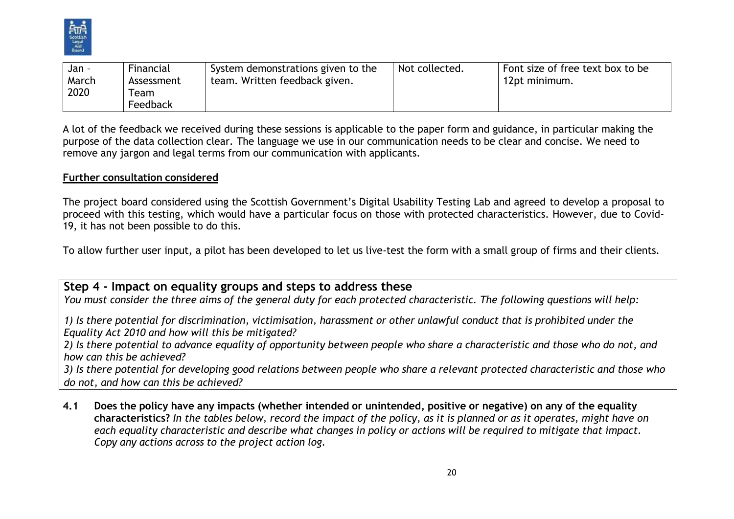

| Jan - | Financial  | System demonstrations given to the | Not collected. | Font size of free text box to be |
|-------|------------|------------------------------------|----------------|----------------------------------|
| March | Assessment | team. Written feedback given.      |                | 12pt minimum.                    |
| 2020  | l eam      |                                    |                |                                  |
|       | Feedback   |                                    |                |                                  |

A lot of the feedback we received during these sessions is applicable to the paper form and guidance, in particular making the purpose of the data collection clear. The language we use in our communication needs to be clear and concise. We need to remove any jargon and legal terms from our communication with applicants.

#### **Further consultation considered**

The project board considered using the Scottish Government's Digital Usability Testing Lab and agreed to develop a proposal to proceed with this testing, which would have a particular focus on those with protected characteristics. However, due to Covid-19, it has not been possible to do this.

To allow further user input, a pilot has been developed to let us live-test the form with a small group of firms and their clients.

## **Step 4 - Impact on equality groups and steps to address these**

You must consider the three aims of the general duty for each protected characteristic. The following questions will help:

1) Is there potential for discrimination, victimisation, harassment or other unlawful conduct that is prohibited under the *Equality Act 2010 and how will this be mitigated?*

2) Is there potential to advance equality of opportunity between people who share a characteristic and those who do not, and *how can this be achieved?*

3) Is there potential for developing good relations between people who share a relevant protected characteristic and those who *do not, and how can this be achieved?*

4.1 Does the policy have any impacts (whether intended or unintended, positive or negative) on any of the equality characteristics? In the tables below, record the impact of the policy, as it is planned or as it operates, might have on each equality characteristic and describe what changes in policy or actions will be required to mitigate that impact. *Copy any actions across to the project action log.*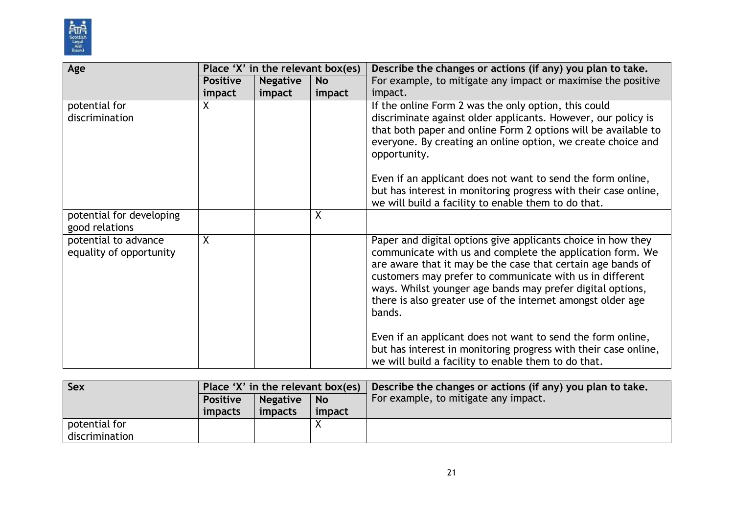

| Age                                             | Place 'X' in the relevant box(es) |                 |           | Describe the changes or actions (if any) you plan to take.                                                                                                                                                                                                                                                                                                                                  |
|-------------------------------------------------|-----------------------------------|-----------------|-----------|---------------------------------------------------------------------------------------------------------------------------------------------------------------------------------------------------------------------------------------------------------------------------------------------------------------------------------------------------------------------------------------------|
|                                                 | <b>Positive</b>                   | <b>Negative</b> | <b>No</b> | For example, to mitigate any impact or maximise the positive                                                                                                                                                                                                                                                                                                                                |
|                                                 | impact                            | impact          | impact    | impact.                                                                                                                                                                                                                                                                                                                                                                                     |
| potential for<br>discrimination                 | X                                 |                 |           | If the online Form 2 was the only option, this could<br>discriminate against older applicants. However, our policy is<br>that both paper and online Form 2 options will be available to<br>everyone. By creating an online option, we create choice and<br>opportunity.                                                                                                                     |
|                                                 |                                   |                 |           | Even if an applicant does not want to send the form online,<br>but has interest in monitoring progress with their case online,<br>we will build a facility to enable them to do that.                                                                                                                                                                                                       |
| potential for developing<br>good relations      |                                   |                 | X         |                                                                                                                                                                                                                                                                                                                                                                                             |
| potential to advance<br>equality of opportunity | $\sf X$                           |                 |           | Paper and digital options give applicants choice in how they<br>communicate with us and complete the application form. We<br>are aware that it may be the case that certain age bands of<br>customers may prefer to communicate with us in different<br>ways. Whilst younger age bands may prefer digital options,<br>there is also greater use of the internet amongst older age<br>bands. |
|                                                 |                                   |                 |           | Even if an applicant does not want to send the form online,<br>but has interest in monitoring progress with their case online,<br>we will build a facility to enable them to do that.                                                                                                                                                                                                       |

| Sex            | Place 'X' in the relevant box(es) $\parallel$ |         |        | Describe the changes or actions (if any) you plan to take. |
|----------------|-----------------------------------------------|---------|--------|------------------------------------------------------------|
|                | Negative<br><b>Positive</b><br><b>No</b>      |         |        | For example, to mitigate any impact.                       |
|                | impacts                                       | impacts | impact |                                                            |
| potential for  |                                               |         |        |                                                            |
| discrimination |                                               |         |        |                                                            |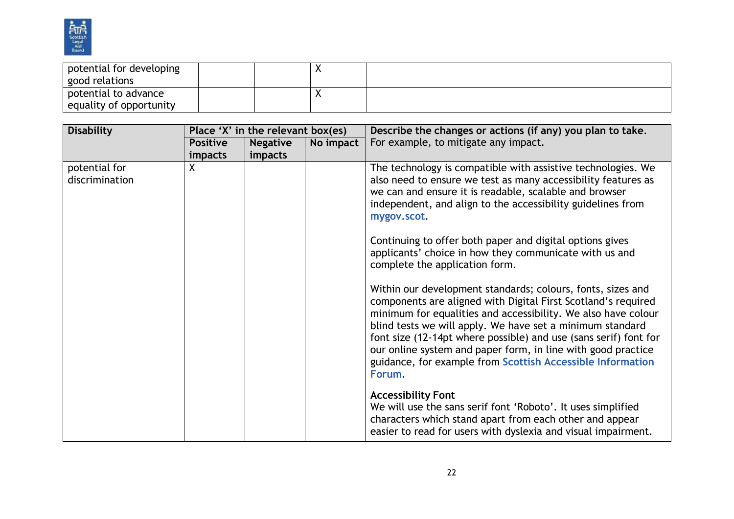

| potential for developing<br>good relations |  |  |
|--------------------------------------------|--|--|
| potential to advance                       |  |  |
| equality of opportunity                    |  |  |

| <b>Disability</b>               |                                   | Place 'X' in the relevant box(es) |           | Describe the changes or actions (if any) you plan to take.                                                                                                                                                                                                                                                                                                                                                                                                             |
|---------------------------------|-----------------------------------|-----------------------------------|-----------|------------------------------------------------------------------------------------------------------------------------------------------------------------------------------------------------------------------------------------------------------------------------------------------------------------------------------------------------------------------------------------------------------------------------------------------------------------------------|
|                                 | <b>Positive</b><br><i>impacts</i> | <b>Negative</b><br>impacts        | No impact | For example, to mitigate any impact.                                                                                                                                                                                                                                                                                                                                                                                                                                   |
| potential for<br>discrimination | $\sf X$                           |                                   |           | The technology is compatible with assistive technologies. We<br>also need to ensure we test as many accessibility features as<br>we can and ensure it is readable, scalable and browser<br>independent, and align to the accessibility guidelines from<br>mygov.scot.                                                                                                                                                                                                  |
|                                 |                                   |                                   |           | Continuing to offer both paper and digital options gives<br>applicants' choice in how they communicate with us and<br>complete the application form.                                                                                                                                                                                                                                                                                                                   |
|                                 |                                   |                                   |           | Within our development standards; colours, fonts, sizes and<br>components are aligned with Digital First Scotland's required<br>minimum for equalities and accessibility. We also have colour<br>blind tests we will apply. We have set a minimum standard<br>font size (12-14pt where possible) and use (sans serif) font for<br>our online system and paper form, in line with good practice<br>guidance, for example from Scottish Accessible Information<br>Forum. |
|                                 |                                   |                                   |           | <b>Accessibility Font</b><br>We will use the sans serif font 'Roboto'. It uses simplified<br>characters which stand apart from each other and appear<br>easier to read for users with dyslexia and visual impairment.                                                                                                                                                                                                                                                  |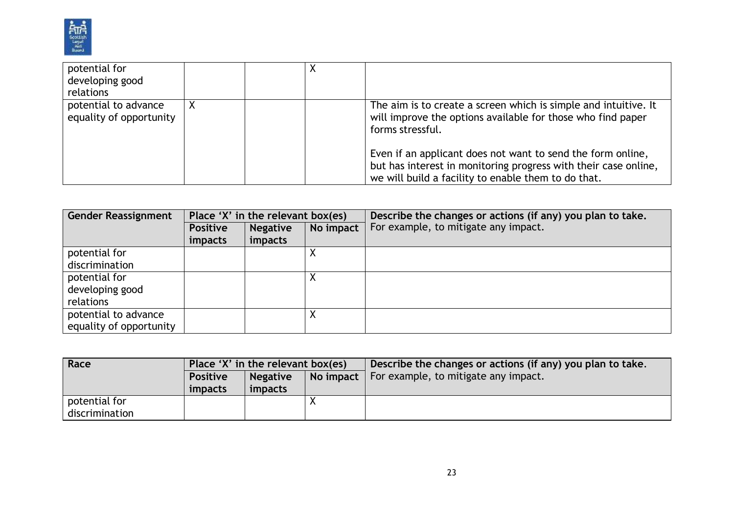

| potential for<br>developing good<br>relations   |  |                                                                                                                                                                                       |
|-------------------------------------------------|--|---------------------------------------------------------------------------------------------------------------------------------------------------------------------------------------|
| potential to advance<br>equality of opportunity |  | The aim is to create a screen which is simple and intuitive. It<br>will improve the options available for those who find paper<br>forms stressful.                                    |
|                                                 |  | Even if an applicant does not want to send the form online,<br>but has interest in monitoring progress with their case online,<br>we will build a facility to enable them to do that. |

| <b>Gender Reassignment</b> | Place 'X' in the relevant box(es) |                 |           | Describe the changes or actions (if any) you plan to take. |
|----------------------------|-----------------------------------|-----------------|-----------|------------------------------------------------------------|
|                            | <b>Positive</b>                   | <b>Negative</b> | No impact | For example, to mitigate any impact.                       |
|                            | impacts                           | impacts         |           |                                                            |
| potential for              |                                   |                 | ∧         |                                                            |
| discrimination             |                                   |                 |           |                                                            |
| potential for              |                                   |                 |           |                                                            |
| developing good            |                                   |                 |           |                                                            |
| relations                  |                                   |                 |           |                                                            |
| potential to advance       |                                   |                 | Λ         |                                                            |
| equality of opportunity    |                                   |                 |           |                                                            |

| Race           | Place 'X' in the relevant box(es) |                 |  | Describe the changes or actions (if any) you plan to take. |
|----------------|-----------------------------------|-----------------|--|------------------------------------------------------------|
|                | <b>Positive</b>                   | <b>Negative</b> |  | No impact $\vert$ For example, to mitigate any impact.     |
|                | impacts                           | impacts         |  |                                                            |
| potential for  |                                   |                 |  |                                                            |
| discrimination |                                   |                 |  |                                                            |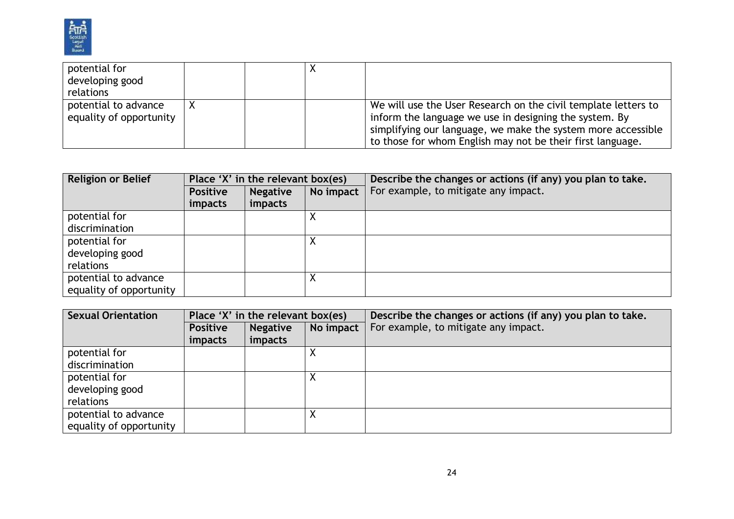

| potential for           |  |                                                                |
|-------------------------|--|----------------------------------------------------------------|
| developing good         |  |                                                                |
| relations               |  |                                                                |
| potential to advance    |  | We will use the User Research on the civil template letters to |
| equality of opportunity |  | inform the language we use in designing the system. By         |
|                         |  | simplifying our language, we make the system more accessible   |
|                         |  | to those for whom English may not be their first language.     |

| <b>Religion or Belief</b> | Place 'X' in the relevant box(es) |                 |           | Describe the changes or actions (if any) you plan to take. |  |  |
|---------------------------|-----------------------------------|-----------------|-----------|------------------------------------------------------------|--|--|
|                           | <b>Positive</b>                   | <b>Negative</b> | No impact | For example, to mitigate any impact.                       |  |  |
|                           | impacts                           | impacts         |           |                                                            |  |  |
| potential for             |                                   |                 |           |                                                            |  |  |
| discrimination            |                                   |                 |           |                                                            |  |  |
| potential for             |                                   |                 |           |                                                            |  |  |
| developing good           |                                   |                 |           |                                                            |  |  |
| relations                 |                                   |                 |           |                                                            |  |  |
| potential to advance      |                                   |                 |           |                                                            |  |  |
| equality of opportunity   |                                   |                 |           |                                                            |  |  |

| <b>Sexual Orientation</b> | Place 'X' in the relevant box(es) |                              |  | Describe the changes or actions (if any) you plan to take. |  |
|---------------------------|-----------------------------------|------------------------------|--|------------------------------------------------------------|--|
|                           | <b>Positive</b>                   | No impact<br><b>Negative</b> |  | For example, to mitigate any impact.                       |  |
|                           | <i>impacts</i>                    | impacts                      |  |                                                            |  |
| potential for             |                                   |                              |  |                                                            |  |
| discrimination            |                                   |                              |  |                                                            |  |
| potential for             |                                   |                              |  |                                                            |  |
| developing good           |                                   |                              |  |                                                            |  |
| relations                 |                                   |                              |  |                                                            |  |
| potential to advance      |                                   |                              |  |                                                            |  |
| equality of opportunity   |                                   |                              |  |                                                            |  |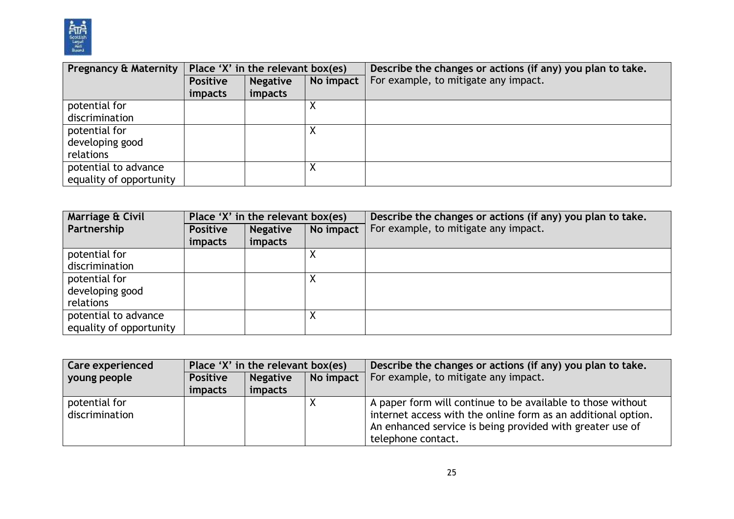

| <b>Pregnancy &amp; Maternity</b> | Place 'X' in the relevant box(es) |                              |   | Describe the changes or actions (if any) you plan to take. |  |  |
|----------------------------------|-----------------------------------|------------------------------|---|------------------------------------------------------------|--|--|
|                                  | <b>Positive</b>                   | No impact<br><b>Negative</b> |   | For example, to mitigate any impact.                       |  |  |
|                                  | impacts                           | impacts                      |   |                                                            |  |  |
| potential for                    |                                   |                              |   |                                                            |  |  |
| discrimination                   |                                   |                              |   |                                                            |  |  |
| potential for                    |                                   |                              | ∧ |                                                            |  |  |
| developing good                  |                                   |                              |   |                                                            |  |  |
| relations                        |                                   |                              |   |                                                            |  |  |
| potential to advance             |                                   |                              | ◠ |                                                            |  |  |
| equality of opportunity          |                                   |                              |   |                                                            |  |  |

| Marriage & Civil        | Place 'X' in the relevant box(es) |                 |           | Describe the changes or actions (if any) you plan to take. |  |
|-------------------------|-----------------------------------|-----------------|-----------|------------------------------------------------------------|--|
| Partnership             | <b>Positive</b>                   | <b>Negative</b> | No impact | For example, to mitigate any impact.                       |  |
|                         | <i>impacts</i>                    | impacts         |           |                                                            |  |
| potential for           |                                   |                 |           |                                                            |  |
| discrimination          |                                   |                 |           |                                                            |  |
| potential for           |                                   |                 |           |                                                            |  |
| developing good         |                                   |                 |           |                                                            |  |
| relations               |                                   |                 |           |                                                            |  |
| potential to advance    |                                   |                 |           |                                                            |  |
| equality of opportunity |                                   |                 |           |                                                            |  |

| <b>Care experienced</b>                            | Place 'X' in the relevant box(es) |         |           | Describe the changes or actions (if any) you plan to take.                                                                                                                                                      |  |
|----------------------------------------------------|-----------------------------------|---------|-----------|-----------------------------------------------------------------------------------------------------------------------------------------------------------------------------------------------------------------|--|
| voung people<br><b>Negative</b><br><b>Positive</b> |                                   |         | No impact | For example, to mitigate any impact.                                                                                                                                                                            |  |
|                                                    | impacts                           | impacts |           |                                                                                                                                                                                                                 |  |
| potential for<br>discrimination                    |                                   |         |           | A paper form will continue to be available to those without<br>internet access with the online form as an additional option.<br>An enhanced service is being provided with greater use of<br>telephone contact. |  |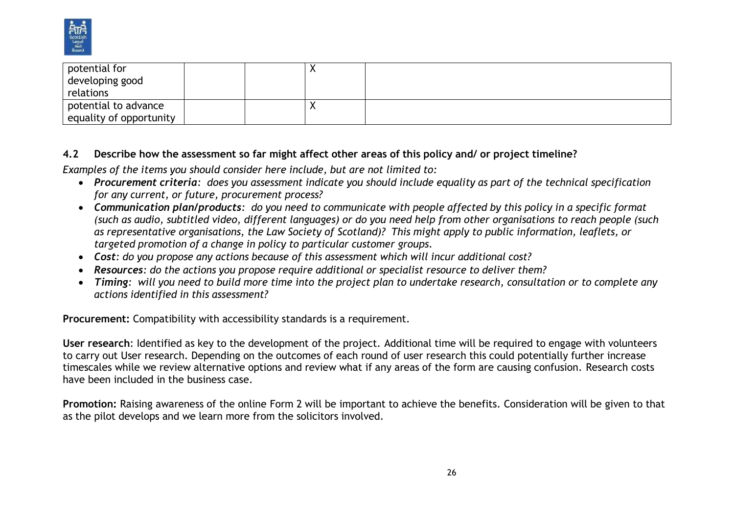

| potential for           |  | ↗ |  |
|-------------------------|--|---|--|
| developing good         |  |   |  |
| relations               |  |   |  |
| potential to advance    |  | ↗ |  |
| equality of opportunity |  |   |  |

## **4.2 Describe how the assessment so far might affect other areas of this policy and/ or project timeline?**

*Examples of the items you should consider here include, but are not limited to:*

- Procurement criteria: does you assessment indicate you should include equality as part of the technical specification *for any current, or future, procurement process?*
- Communication plan/products: do you need to communicate with people affected by this policy in a specific format (such as audio, subtitled video, different languages) or do you need help from other organisations to reach people (such as representative organisations, the Law Society of Scotland)? This might apply to public information, leaflets, or *targeted promotion of a change in policy to particular customer groups.*
- *Cost: do you propose any actions because of this assessment which will incur additional cost?*
- *Resources: do the actions you propose require additional or specialist resource to deliver them?*
- Timing: will you need to build more time into the project plan to undertake research, consultation or to complete any *actions identified in this assessment?*

**Procurement:** Compatibility with accessibility standards is a requirement.

**User research**: Identified as key to the development of the project. Additional time will be required to engage with volunteers to carry out User research. Depending on the outcomes of each round of user research this could potentially further increase timescales while we review alternative options and review what if any areas of the form are causing confusion. Research costs have been included in the business case.

**Promotion:** Raising awareness of the online Form 2 will be important to achieve the benefits. Consideration will be given to that as the pilot develops and we learn more from the solicitors involved.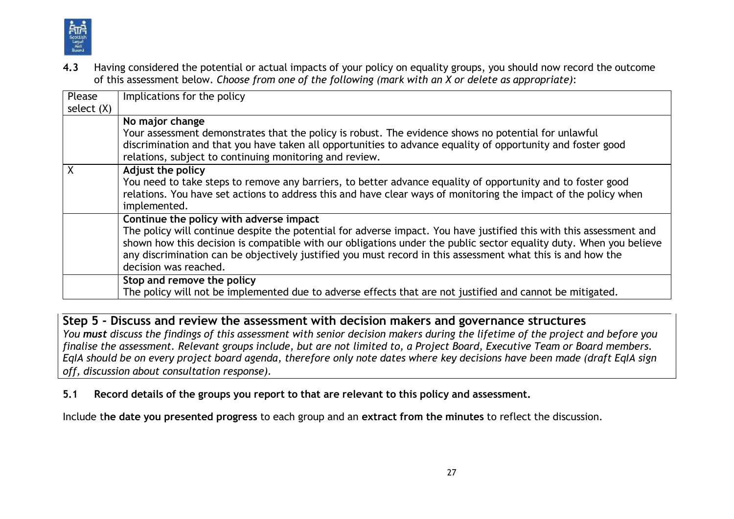

**4.3** Having considered the potential or actual impacts of your policy on equality groups, you should now record the outcome of this assessment below. *Choose from one of the following (mark with an X or delete as appropriate)*:

| Please       | Implications for the policy                                                                                                                                            |
|--------------|------------------------------------------------------------------------------------------------------------------------------------------------------------------------|
| select $(X)$ |                                                                                                                                                                        |
|              | No major change                                                                                                                                                        |
|              | Your assessment demonstrates that the policy is robust. The evidence shows no potential for unlawful                                                                   |
|              | discrimination and that you have taken all opportunities to advance equality of opportunity and foster good<br>relations, subject to continuing monitoring and review. |
|              | <b>Adjust the policy</b>                                                                                                                                               |
|              | You need to take steps to remove any barriers, to better advance equality of opportunity and to foster good                                                            |
|              | relations. You have set actions to address this and have clear ways of monitoring the impact of the policy when<br>implemented.                                        |
|              | Continue the policy with adverse impact                                                                                                                                |
|              | The policy will continue despite the potential for adverse impact. You have justified this with this assessment and                                                    |
|              | shown how this decision is compatible with our obligations under the public sector equality duty. When you believe                                                     |
|              | any discrimination can be objectively justified you must record in this assessment what this is and how the                                                            |
|              | decision was reached.                                                                                                                                                  |
|              | Stop and remove the policy                                                                                                                                             |
|              | The policy will not be implemented due to adverse effects that are not justified and cannot be mitigated.                                                              |

**Step 5 - Discuss and review the assessment with decision makers and governance structures** You must discuss the findings of this assessment with senior decision makers during the lifetime of the project and before you finalise the assessment. Relevant groups include, but are not limited to, a Project Board, Executive Team or Board members. EglA should be on every project board agenda, therefore only note dates where key decisions have been made (draft EglA sign *off, discussion about consultation response).*

**5.1 Record details of the groups you report to that are relevant to this policy and assessment.**

Include t**he date you presented progress** to each group and an **extract from the minutes** to reflect the discussion.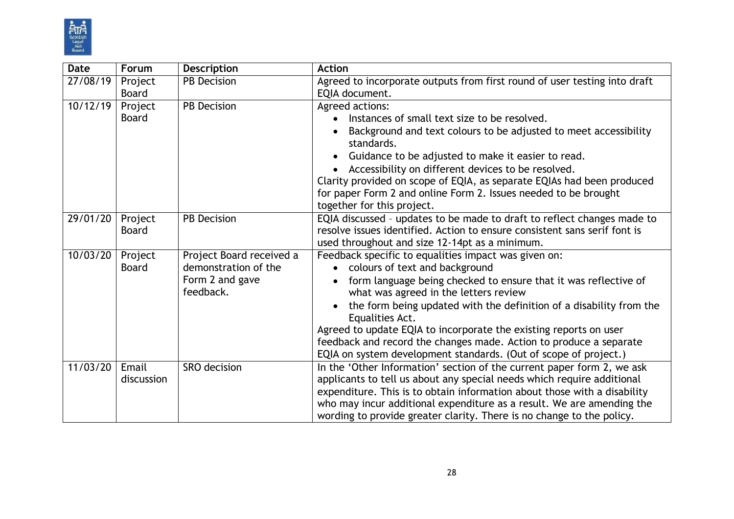

| <b>Date</b> | Forum        | <b>Description</b>           | <b>Action</b>                                                                                                         |
|-------------|--------------|------------------------------|-----------------------------------------------------------------------------------------------------------------------|
| 27/08/19    | Project      | <b>PB</b> Decision           | Agreed to incorporate outputs from first round of user testing into draft                                             |
|             | <b>Board</b> |                              | EQIA document.                                                                                                        |
| 10/12/19    | Project      | <b>PB Decision</b>           | Agreed actions:                                                                                                       |
|             | <b>Board</b> |                              | Instances of small text size to be resolved.                                                                          |
|             |              |                              | Background and text colours to be adjusted to meet accessibility<br>standards.                                        |
|             |              |                              | Guidance to be adjusted to make it easier to read.<br>$\bullet$                                                       |
|             |              |                              | Accessibility on different devices to be resolved.<br>$\bullet$                                                       |
|             |              |                              | Clarity provided on scope of EQIA, as separate EQIAs had been produced                                                |
|             |              |                              | for paper Form 2 and online Form 2. Issues needed to be brought                                                       |
|             |              |                              | together for this project.                                                                                            |
| 29/01/20    | Project      | <b>PB Decision</b>           | EQIA discussed - updates to be made to draft to reflect changes made to                                               |
|             | <b>Board</b> |                              | resolve issues identified. Action to ensure consistent sans serif font is                                             |
|             |              |                              | used throughout and size 12-14pt as a minimum.                                                                        |
| 10/03/20    | Project      | Project Board received a     | Feedback specific to equalities impact was given on:                                                                  |
|             | <b>Board</b> | demonstration of the         | colours of text and background<br>$\bullet$                                                                           |
|             |              | Form 2 and gave<br>feedback. | form language being checked to ensure that it was reflective of<br>$\bullet$<br>what was agreed in the letters review |
|             |              |                              | the form being updated with the definition of a disability from the<br>$\bullet$                                      |
|             |              |                              | Equalities Act.                                                                                                       |
|             |              |                              | Agreed to update EQIA to incorporate the existing reports on user                                                     |
|             |              |                              | feedback and record the changes made. Action to produce a separate                                                    |
|             |              |                              | EQIA on system development standards. (Out of scope of project.)                                                      |
| 11/03/20    | Email        | SRO decision                 | In the 'Other Information' section of the current paper form 2, we ask                                                |
|             | discussion   |                              | applicants to tell us about any special needs which require additional                                                |
|             |              |                              | expenditure. This is to obtain information about those with a disability                                              |
|             |              |                              | who may incur additional expenditure as a result. We are amending the                                                 |
|             |              |                              | wording to provide greater clarity. There is no change to the policy.                                                 |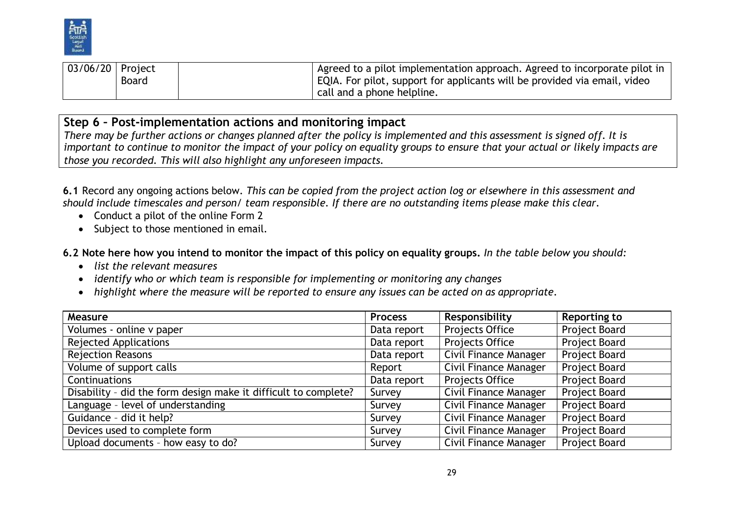

| <sup>1</sup> 03/06/20   Project |              | $^{\prime}$ Agreed to a pilot implementation approach. Agreed to incorporate pilot in $_{\odot}$ |
|---------------------------------|--------------|--------------------------------------------------------------------------------------------------|
|                                 | <b>Board</b> | EQIA. For pilot, support for applicants will be provided via email, video                        |
|                                 |              | call and a phone helpline.                                                                       |

## **Step 6 – Post-implementation actions and monitoring impact**

There may be further actions or changes planned after the policy is implemented and this assessment is signed off. It is important to continue to monitor the impact of your policy on equality groups to ensure that your actual or likely impacts are *those you recorded. This will also highlight any unforeseen impacts.*

6.1 Record any ongoing actions below. This can be copied from the project action log or elsewhere in this assessment and *should include timescales and person/ team responsible. If there are no outstanding items please make this clear.*

- Conduct a pilot of the online Form 2
- Subject to those mentioned in email.

6.2 Note here how you intend to monitor the impact of this policy on equality groups. In the table below you should:

- *list the relevant measures*
- *identify who or which team is responsible for implementing or monitoring any changes*
- *highlight where the measure will be reported to ensure any issues can be acted on as appropriate.*

| <b>Measure</b>                                                  | <b>Process</b> | Responsibility               | <b>Reporting to</b> |
|-----------------------------------------------------------------|----------------|------------------------------|---------------------|
| Volumes - online v paper                                        | Data report    | Projects Office              | Project Board       |
| <b>Rejected Applications</b>                                    | Data report    | Projects Office              | Project Board       |
| <b>Rejection Reasons</b>                                        | Data report    | Civil Finance Manager        | Project Board       |
| Volume of support calls                                         | Report         | Civil Finance Manager        | Project Board       |
| Continuations                                                   | Data report    | Projects Office              | Project Board       |
| Disability - did the form design make it difficult to complete? | Survey         | <b>Civil Finance Manager</b> | Project Board       |
| Language - level of understanding                               | Survey         | Civil Finance Manager        | Project Board       |
| Guidance - did it help?                                         | Survey         | Civil Finance Manager        | Project Board       |
| Devices used to complete form                                   | Survey         | Civil Finance Manager        | Project Board       |
| Upload documents - how easy to do?                              | Survey         | Civil Finance Manager        | Project Board       |